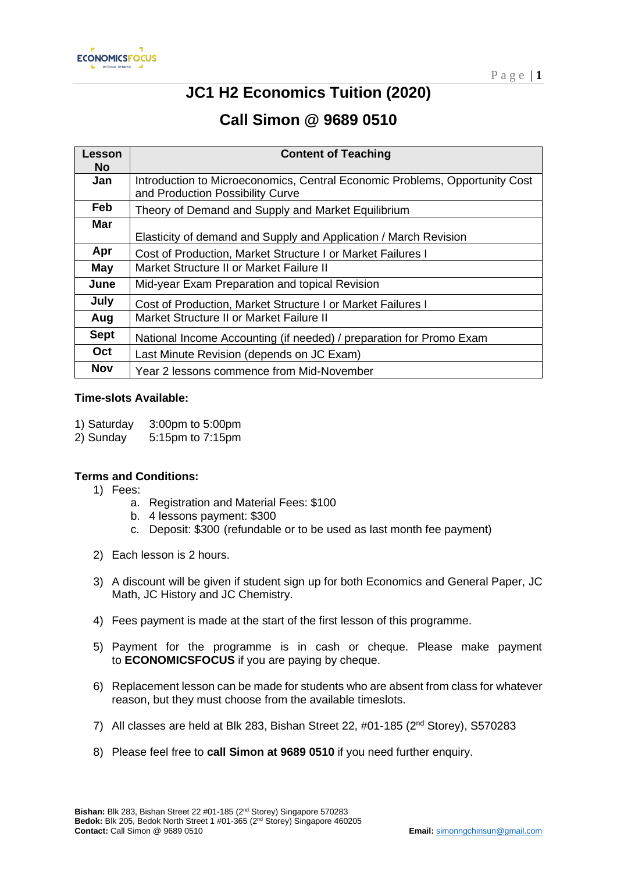

# **JC1 H2 Economics Tuition (2020)**

# **Call Simon @ 9689 0510**

| Lesson      | <b>Content of Teaching</b>                                                  |
|-------------|-----------------------------------------------------------------------------|
| <b>No</b>   |                                                                             |
| Jan         | Introduction to Microeconomics, Central Economic Problems, Opportunity Cost |
|             | and Production Possibility Curve                                            |
| <b>Feb</b>  | Theory of Demand and Supply and Market Equilibrium                          |
| <b>Mar</b>  |                                                                             |
|             | Elasticity of demand and Supply and Application / March Revision            |
| Apr         | Cost of Production, Market Structure I or Market Failures I                 |
| May         | Market Structure II or Market Failure II                                    |
| June        | Mid-year Exam Preparation and topical Revision                              |
| July        | Cost of Production, Market Structure I or Market Failures I                 |
| Aug         | Market Structure II or Market Failure II                                    |
| <b>Sept</b> | National Income Accounting (if needed) / preparation for Promo Exam         |
| Oct         | Last Minute Revision (depends on JC Exam)                                   |
| <b>Nov</b>  | Year 2 lessons commence from Mid-November                                   |

#### **Time-slots Available:**

- 1) Saturday 3:00pm to 5:00pm
- 2) Sunday 5:15pm to 7:15pm

#### **Terms and Conditions:**

- 1) Fees:
	- a. Registration and Material Fees: \$100
	- b. 4 lessons payment: \$300
	- c. Deposit: \$300 (refundable or to be used as last month fee payment)
- 2) Each lesson is 2 hours.
- 3) A discount will be given if student sign up for both Economics and General Paper, JC Math, JC History and JC Chemistry.
- 4) Fees payment is made at the start of the first lesson of this programme.
- 5) Payment for the programme is in cash or cheque. Please make payment to **ECONOMICSFOCUS** if you are paying by cheque.
- 6) Replacement lesson can be made for students who are absent from class for whatever reason, but they must choose from the available timeslots.
- 7) All classes are held at Blk 283, Bishan Street 22, #01-185 (2nd Storey), S570283
- 8) Please feel free to **call Simon at 9689 0510** if you need further enquiry.